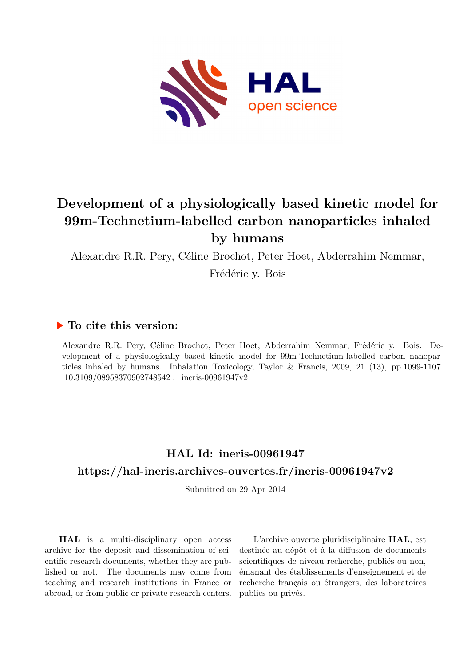

# **Development of a physiologically based kinetic model for 99m-Technetium-labelled carbon nanoparticles inhaled by humans**

Alexandre R.R. Pery, Céline Brochot, Peter Hoet, Abderrahim Nemmar,

Frédéric y. Bois

## **To cite this version:**

Alexandre R.R. Pery, Céline Brochot, Peter Hoet, Abderrahim Nemmar, Frédéric y. Bois. Development of a physiologically based kinetic model for 99m-Technetium-labelled carbon nanoparticles inhaled by humans. Inhalation Toxicology, Taylor & Francis, 2009, 21 (13), pp.1099-1107. 10.3109/08958370902748542. ineris-00961947v2

# **HAL Id: ineris-00961947 <https://hal-ineris.archives-ouvertes.fr/ineris-00961947v2>**

Submitted on 29 Apr 2014

**HAL** is a multi-disciplinary open access archive for the deposit and dissemination of scientific research documents, whether they are published or not. The documents may come from teaching and research institutions in France or abroad, or from public or private research centers.

L'archive ouverte pluridisciplinaire **HAL**, est destinée au dépôt et à la diffusion de documents scientifiques de niveau recherche, publiés ou non, émanant des établissements d'enseignement et de recherche français ou étrangers, des laboratoires publics ou privés.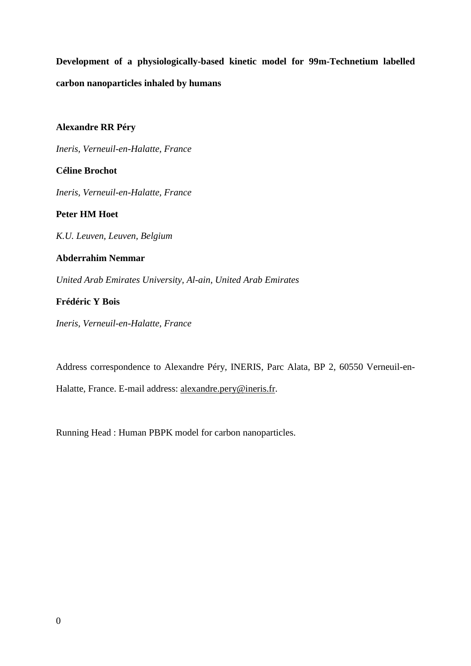**Development of a physiologically-based kinetic model for 99m-Technetium labelled carbon nanoparticles inhaled by humans** 

**Alexandre RR Péry** 

*Ineris, Verneuil-en-Halatte, France* 

**Céline Brochot** 

*Ineris, Verneuil-en-Halatte, France* 

**Peter HM Hoet** 

*K.U. Leuven, Leuven, Belgium* 

### **Abderrahim Nemmar**

*United Arab Emirates University, Al-ain, United Arab Emirates* 

### **Frédéric Y Bois**

*Ineris, Verneuil-en-Halatte, France* 

Address correspondence to Alexandre Péry, INERIS, Parc Alata, BP 2, 60550 Verneuil-en-Halatte, France. E-mail address: alexandre.pery@ineris.fr.

Running Head : Human PBPK model for carbon nanoparticles.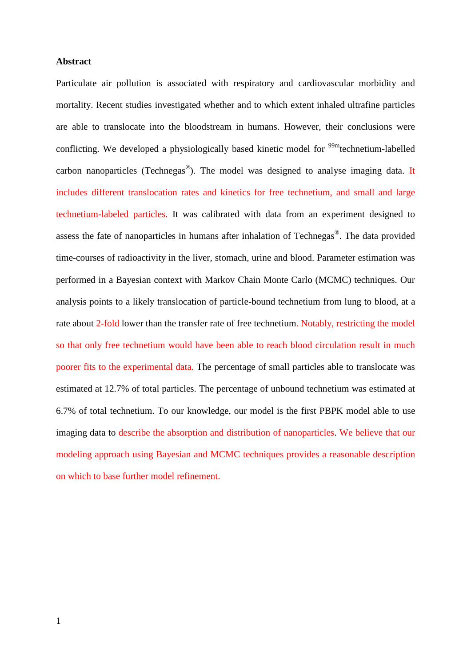#### **Abstract**

Particulate air pollution is associated with respiratory and cardiovascular morbidity and mortality. Recent studies investigated whether and to which extent inhaled ultrafine particles are able to translocate into the bloodstream in humans. However, their conclusions were conflicting. We developed a physiologically based kinetic model for <sup>99m</sup>technetium-labelled carbon nanoparticles (Technegas®). The model was designed to analyse imaging data. It includes different translocation rates and kinetics for free technetium, and small and large technetium-labeled particles. It was calibrated with data from an experiment designed to assess the fate of nanoparticles in humans after inhalation of Technegas<sup>®</sup>. The data provided time-courses of radioactivity in the liver, stomach, urine and blood. Parameter estimation was performed in a Bayesian context with Markov Chain Monte Carlo (MCMC) techniques. Our analysis points to a likely translocation of particle-bound technetium from lung to blood, at a rate about 2-fold lower than the transfer rate of free technetium. Notably, restricting the model so that only free technetium would have been able to reach blood circulation result in much poorer fits to the experimental data. The percentage of small particles able to translocate was estimated at 12.7% of total particles. The percentage of unbound technetium was estimated at 6.7% of total technetium. To our knowledge, our model is the first PBPK model able to use imaging data to describe the absorption and distribution of nanoparticles. We believe that our modeling approach using Bayesian and MCMC techniques provides a reasonable description on which to base further model refinement.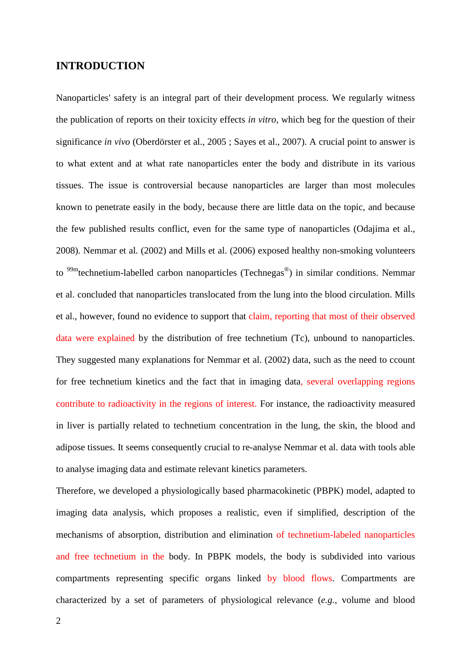### **INTRODUCTION**

Nanoparticles' safety is an integral part of their development process. We regularly witness the publication of reports on their toxicity effects *in vitro*, which beg for the question of their significance *in vivo* (Oberdörster et al., 2005 ; Sayes et al., 2007). A crucial point to answer is to what extent and at what rate nanoparticles enter the body and distribute in its various tissues. The issue is controversial because nanoparticles are larger than most molecules known to penetrate easily in the body, because there are little data on the topic, and because the few published results conflict, even for the same type of nanoparticles (Odajima et al., 2008). Nemmar et al. (2002) and Mills et al. (2006) exposed healthy non-smoking volunteers to <sup>99m</sup>technetium-labelled carbon nanoparticles (Technegas<sup>®</sup>) in similar conditions. Nemmar et al. concluded that nanoparticles translocated from the lung into the blood circulation. Mills et al., however, found no evidence to support that claim, reporting that most of their observed data were explained by the distribution of free technetium (Tc), unbound to nanoparticles. They suggested many explanations for Nemmar et al. (2002) data, such as the need to ccount for free technetium kinetics and the fact that in imaging data, several overlapping regions contribute to radioactivity in the regions of interest. For instance, the radioactivity measured in liver is partially related to technetium concentration in the lung, the skin, the blood and adipose tissues. It seems consequently crucial to re-analyse Nemmar et al. data with tools able to analyse imaging data and estimate relevant kinetics parameters.

Therefore, we developed a physiologically based pharmacokinetic (PBPK) model, adapted to imaging data analysis, which proposes a realistic, even if simplified, description of the mechanisms of absorption, distribution and elimination of technetium-labeled nanoparticles and free technetium in the body. In PBPK models, the body is subdivided into various compartments representing specific organs linked by blood flows. Compartments are characterized by a set of parameters of physiological relevance (*e.g.,* volume and blood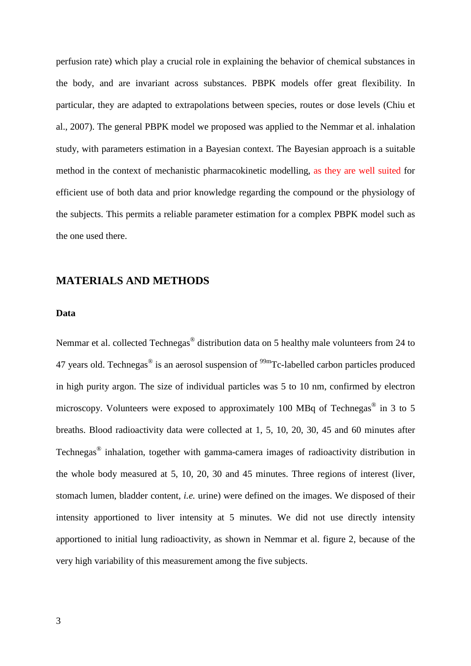perfusion rate) which play a crucial role in explaining the behavior of chemical substances in the body, and are invariant across substances. PBPK models offer great flexibility. In particular, they are adapted to extrapolations between species, routes or dose levels (Chiu et al., 2007). The general PBPK model we proposed was applied to the Nemmar et al. inhalation study, with parameters estimation in a Bayesian context. The Bayesian approach is a suitable method in the context of mechanistic pharmacokinetic modelling, as they are well suited for efficient use of both data and prior knowledge regarding the compound or the physiology of the subjects. This permits a reliable parameter estimation for a complex PBPK model such as the one used there.

### **MATERIALS AND METHODS**

#### **Data**

Nemmar et al. collected Technegas® distribution data on 5 healthy male volunteers from 24 to 47 years old. Technegas<sup>®</sup> is an aerosol suspension of  $\frac{99 \text{m}}{2}$ Tc-labelled carbon particles produced in high purity argon. The size of individual particles was 5 to 10 nm, confirmed by electron microscopy. Volunteers were exposed to approximately 100 MBq of Technegas<sup>®</sup> in 3 to 5 breaths. Blood radioactivity data were collected at 1, 5, 10, 20, 30, 45 and 60 minutes after Technegas® inhalation, together with gamma-camera images of radioactivity distribution in the whole body measured at 5, 10, 20, 30 and 45 minutes. Three regions of interest (liver, stomach lumen, bladder content, *i.e.* urine) were defined on the images. We disposed of their intensity apportioned to liver intensity at 5 minutes. We did not use directly intensity apportioned to initial lung radioactivity, as shown in Nemmar et al. figure 2, because of the very high variability of this measurement among the five subjects.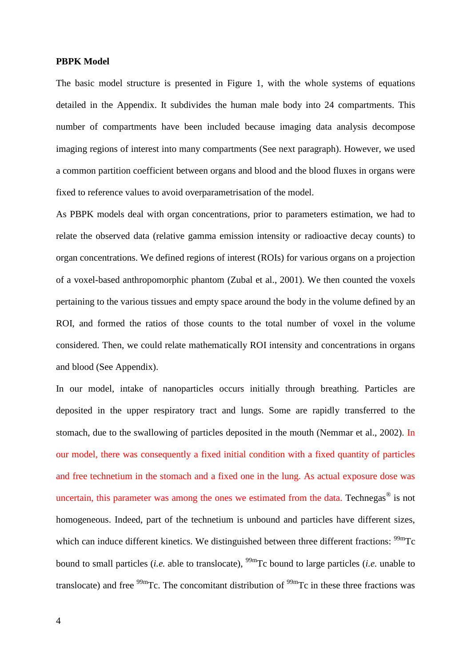#### **PBPK Model**

The basic model structure is presented in Figure 1, with the whole systems of equations detailed in the Appendix. It subdivides the human male body into 24 compartments. This number of compartments have been included because imaging data analysis decompose imaging regions of interest into many compartments (See next paragraph). However, we used a common partition coefficient between organs and blood and the blood fluxes in organs were fixed to reference values to avoid overparametrisation of the model.

As PBPK models deal with organ concentrations, prior to parameters estimation, we had to relate the observed data (relative gamma emission intensity or radioactive decay counts) to organ concentrations. We defined regions of interest (ROIs) for various organs on a projection of a voxel-based anthropomorphic phantom (Zubal et al., 2001). We then counted the voxels pertaining to the various tissues and empty space around the body in the volume defined by an ROI, and formed the ratios of those counts to the total number of voxel in the volume considered. Then, we could relate mathematically ROI intensity and concentrations in organs and blood (See Appendix).

In our model, intake of nanoparticles occurs initially through breathing. Particles are deposited in the upper respiratory tract and lungs. Some are rapidly transferred to the stomach, due to the swallowing of particles deposited in the mouth (Nemmar et al., 2002). In our model, there was consequently a fixed initial condition with a fixed quantity of particles and free technetium in the stomach and a fixed one in the lung. As actual exposure dose was uncertain, this parameter was among the ones we estimated from the data. Technegas $^{\circledR}$  is not homogeneous. Indeed, part of the technetium is unbound and particles have different sizes, which can induce different kinetics. We distinguished between three different fractions: <sup>99m</sup>Tc bound to small particles (*i.e.* able to translocate), 99mTc bound to large particles (*i.e.* unable to translocate) and free  $\frac{99 \text{m}}{2}$ . The concomitant distribution of  $\frac{99 \text{m}}{2}$ . The these three fractions was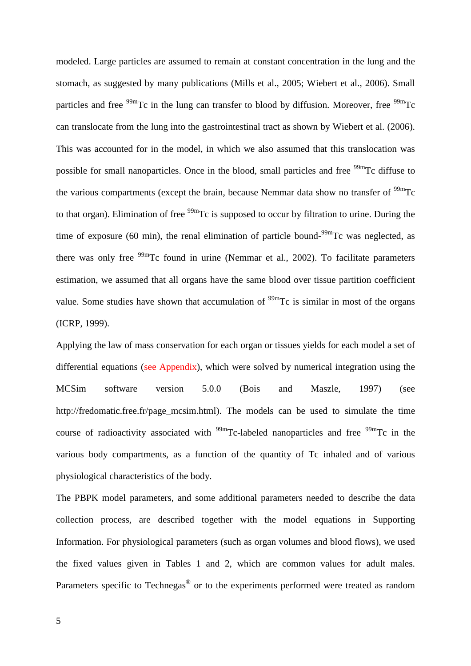modeled. Large particles are assumed to remain at constant concentration in the lung and the stomach, as suggested by many publications (Mills et al., 2005; Wiebert et al., 2006). Small particles and free  $\frac{99 \text{m}}{2}$ Tc in the lung can transfer to blood by diffusion. Moreover, free  $\frac{99 \text{m}}{2}$ Tc can translocate from the lung into the gastrointestinal tract as shown by Wiebert et al. (2006). This was accounted for in the model, in which we also assumed that this translocation was possible for small nanoparticles. Once in the blood, small particles and free  $\frac{99 \text{m}}{2}$ C diffuse to the various compartments (except the brain, because Nemmar data show no transfer of  $\rm{^{99m}Tc}$ to that organ). Elimination of free <sup>99m</sup>Tc is supposed to occur by filtration to urine. During the time of exposure (60 min), the renal elimination of particle bound- $99m$ Tc was neglected, as there was only free  $99m$ Tc found in urine (Nemmar et al., 2002). To facilitate parameters estimation, we assumed that all organs have the same blood over tissue partition coefficient value. Some studies have shown that accumulation of  $\frac{99 \text{m}}{2}$  Tc is similar in most of the organs (ICRP, 1999).

Applying the law of mass conservation for each organ or tissues yields for each model a set of differential equations (see Appendix), which were solved by numerical integration using the MCSim software version 5.0.0 (Bois and Maszle, 1997) (see http://fredomatic.free.fr/page\_mcsim.html). The models can be used to simulate the time course of radioactivity associated with  $99m$ Tc-labeled nanoparticles and free  $99m$ Tc in the various body compartments, as a function of the quantity of Tc inhaled and of various physiological characteristics of the body.

The PBPK model parameters, and some additional parameters needed to describe the data collection process, are described together with the model equations in Supporting Information. For physiological parameters (such as organ volumes and blood flows), we used the fixed values given in Tables 1 and 2, which are common values for adult males. Parameters specific to Technegas<sup>®</sup> or to the experiments performed were treated as random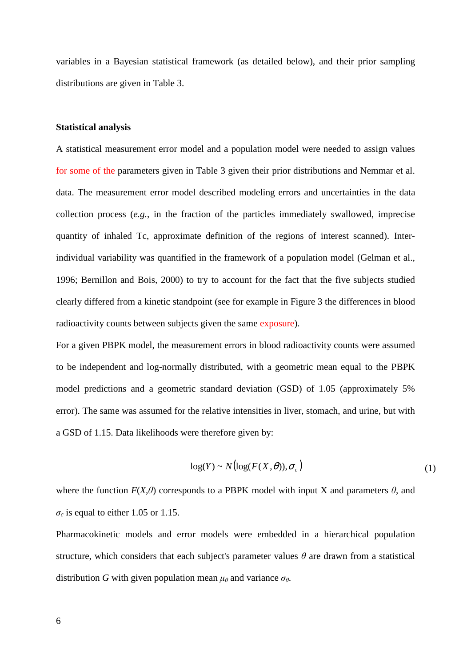variables in a Bayesian statistical framework (as detailed below), and their prior sampling distributions are given in Table 3.

#### **Statistical analysis**

A statistical measurement error model and a population model were needed to assign values for some of the parameters given in Table 3 given their prior distributions and Nemmar et al. data. The measurement error model described modeling errors and uncertainties in the data collection process (*e.g.*, in the fraction of the particles immediately swallowed, imprecise quantity of inhaled Tc, approximate definition of the regions of interest scanned). Interindividual variability was quantified in the framework of a population model (Gelman et al., 1996; Bernillon and Bois, 2000) to try to account for the fact that the five subjects studied clearly differed from a kinetic standpoint (see for example in Figure 3 the differences in blood radioactivity counts between subjects given the same exposure).

For a given PBPK model, the measurement errors in blood radioactivity counts were assumed to be independent and log-normally distributed, with a geometric mean equal to the PBPK model predictions and a geometric standard deviation (GSD) of 1.05 (approximately 5% error). The same was assumed for the relative intensities in liver, stomach, and urine, but with a GSD of 1.15. Data likelihoods were therefore given by:

$$
\log(Y) \sim N\big(\log(F(X,\theta)), \sigma_c\big) \tag{1}
$$

where the function  $F(X, \theta)$  corresponds to a PBPK model with input X and parameters  $\theta$ , and  $\sigma_c$  is equal to either 1.05 or 1.15.

Pharmacokinetic models and error models were embedded in a hierarchical population structure, which considers that each subject's parameter values  $\theta$  are drawn from a statistical distribution *G* with given population mean  $\mu_{\theta}$  and variance  $\sigma_{\theta}$ .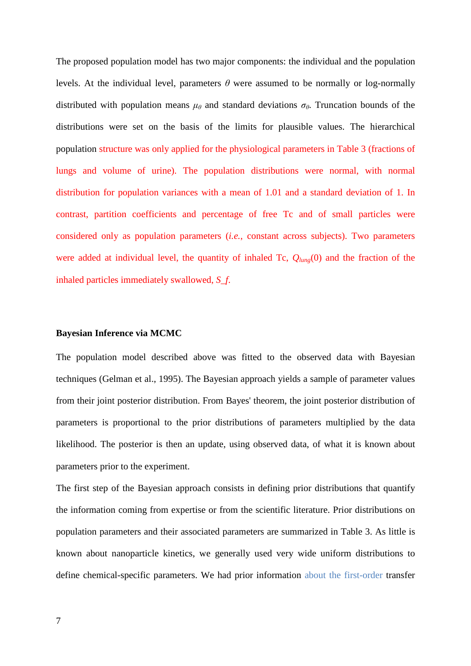The proposed population model has two major components: the individual and the population levels. At the individual level, parameters  $\theta$  were assumed to be normally or log-normally distributed with population means  $\mu_{\theta}$  and standard deviations  $\sigma_{\theta}$ . Truncation bounds of the distributions were set on the basis of the limits for plausible values. The hierarchical population structure was only applied for the physiological parameters in Table 3 (fractions of lungs and volume of urine). The population distributions were normal, with normal distribution for population variances with a mean of 1.01 and a standard deviation of 1. In contrast, partition coefficients and percentage of free Tc and of small particles were considered only as population parameters (*i.e.*, constant across subjects). Two parameters were added at individual level, the quantity of inhaled Tc, *Qlung*(0) and the fraction of the inhaled particles immediately swallowed, *S\_f*.

#### **Bayesian Inference via MCMC**

The population model described above was fitted to the observed data with Bayesian techniques (Gelman et al., 1995). The Bayesian approach yields a sample of parameter values from their joint posterior distribution. From Bayes' theorem, the joint posterior distribution of parameters is proportional to the prior distributions of parameters multiplied by the data likelihood. The posterior is then an update, using observed data, of what it is known about parameters prior to the experiment.

The first step of the Bayesian approach consists in defining prior distributions that quantify the information coming from expertise or from the scientific literature. Prior distributions on population parameters and their associated parameters are summarized in Table 3. As little is known about nanoparticle kinetics, we generally used very wide uniform distributions to define chemical-specific parameters. We had prior information about the first-order transfer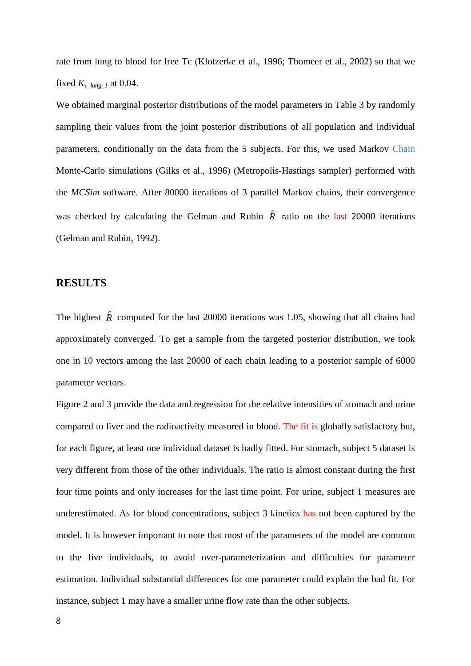rate from lung to blood for free Tc (Klotzerke et al., 1996; Thomeer et al., 2002) so that we fixed  $K_v$ <sub>lung</sub> 1 at 0.04.

We obtained marginal posterior distributions of the model parameters in Table 3 by randomly sampling their values from the joint posterior distributions of all population and individual parameters, conditionally on the data from the 5 subjects. For this, we used Markov Chain Monte-Carlo simulations (Gilks et al., 1996) (Metropolis-Hastings sampler) performed with the *MCSim* software. After 80000 iterations of 3 parallel Markov chains, their convergence was checked by calculating the Gelman and Rubin  $\hat{R}$  ratio on the last 20000 iterations (Gelman and Rubin, 1992).

### **RESULTS**

The highest  $\hat{R}$  computed for the last 20000 iterations was 1.05, showing that all chains had approximately converged. To get a sample from the targeted posterior distribution, we took one in 10 vectors among the last 20000 of each chain leading to a posterior sample of 6000 parameter vectors.

Figure 2 and 3 provide the data and regression for the relative intensities of stomach and urine compared to liver and the radioactivity measured in blood. The fit is globally satisfactory but, for each figure, at least one individual dataset is badly fitted. For stomach, subject 5 dataset is very different from those of the other individuals. The ratio is almost constant during the first four time points and only increases for the last time point. For urine, subject 1 measures are underestimated. As for blood concentrations, subject 3 kinetics has not been captured by the model. It is however important to note that most of the parameters of the model are common to the five individuals, to avoid over-parameterization and difficulties for parameter estimation. Individual substantial differences for one parameter could explain the bad fit. For instance, subject 1 may have a smaller urine flow rate than the other subjects.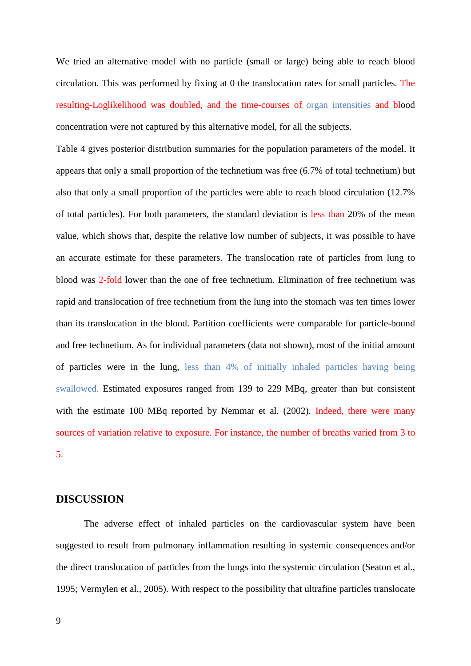We tried an alternative model with no particle (small or large) being able to reach blood circulation. This was performed by fixing at 0 the translocation rates for small particles. The resulting-Loglikelihood was doubled, and the time-courses of organ intensities and blood concentration were not captured by this alternative model, for all the subjects.

Table 4 gives posterior distribution summaries for the population parameters of the model. It appears that only a small proportion of the technetium was free (6.7% of total technetium) but also that only a small proportion of the particles were able to reach blood circulation (12.7% of total particles). For both parameters, the standard deviation is less than 20% of the mean value, which shows that, despite the relative low number of subjects, it was possible to have an accurate estimate for these parameters. The translocation rate of particles from lung to blood was 2-fold lower than the one of free technetium. Elimination of free technetium was rapid and translocation of free technetium from the lung into the stomach was ten times lower than its translocation in the blood. Partition coefficients were comparable for particle-bound and free technetium. As for individual parameters (data not shown), most of the initial amount of particles were in the lung, less than 4% of initially inhaled particles having being swallowed. Estimated exposures ranged from 139 to 229 MBq, greater than but consistent with the estimate 100 MBq reported by Nemmar et al. (2002). Indeed, there were many sources of variation relative to exposure. For instance, the number of breaths varied from 3 to 5.

### **DISCUSSION**

The adverse effect of inhaled particles on the cardiovascular system have been suggested to result from pulmonary inflammation resulting in systemic consequences and/or the direct translocation of particles from the lungs into the systemic circulation (Seaton et al., 1995; Vermylen et al., 2005). With respect to the possibility that ultrafine particles translocate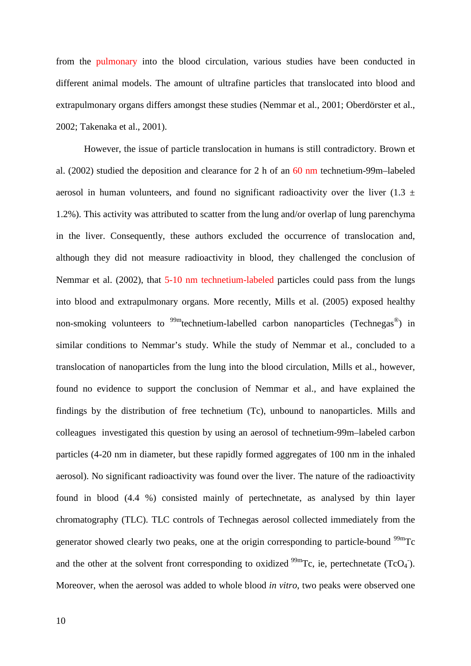from the pulmonary into the blood circulation, various studies have been conducted in different animal models. The amount of ultrafine particles that translocated into blood and extrapulmonary organs differs amongst these studies (Nemmar et al., 2001; Oberdörster et al., 2002; Takenaka et al., 2001).

However, the issue of particle translocation in humans is still contradictory. Brown et al. (2002) studied the deposition and clearance for 2 h of an 60 nm technetium-99m–labeled aerosol in human volunteers, and found no significant radioactivity over the liver (1.3  $\pm$ 1.2%). This activity was attributed to scatter from the lung and/or overlap of lung parenchyma in the liver. Consequently, these authors excluded the occurrence of translocation and, although they did not measure radioactivity in blood, they challenged the conclusion of Nemmar et al. (2002), that 5-10 nm technetium-labeled particles could pass from the lungs into blood and extrapulmonary organs. More recently, Mills et al. (2005) exposed healthy non-smoking volunteers to <sup>99m</sup>technetium-labelled carbon nanoparticles (Technegas<sup>®</sup>) in similar conditions to Nemmar's study. While the study of Nemmar et al., concluded to a translocation of nanoparticles from the lung into the blood circulation, Mills et al., however, found no evidence to support the conclusion of Nemmar et al., and have explained the findings by the distribution of free technetium (Tc), unbound to nanoparticles. Mills and colleagues investigated this question by using an aerosol of technetium-99m–labeled carbon particles (4-20 nm in diameter, but these rapidly formed aggregates of 100 nm in the inhaled aerosol). No significant radioactivity was found over the liver. The nature of the radioactivity found in blood (4.4 %) consisted mainly of pertechnetate, as analysed by thin layer chromatography (TLC). TLC controls of Technegas aerosol collected immediately from the generator showed clearly two peaks, one at the origin corresponding to particle-bound <sup>99m</sup>Tc and the other at the solvent front corresponding to oxidized  $^{99m}$ Tc, ie, pertechnetate (TcO<sub>4</sub><sup>-</sup>). Moreover, when the aerosol was added to whole blood *in vitro*, two peaks were observed one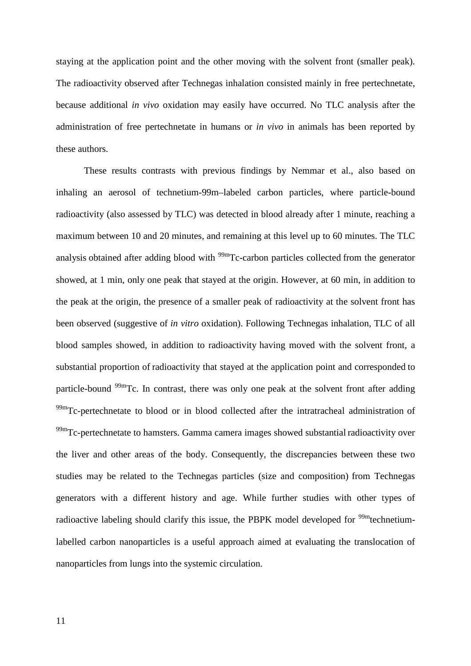staying at the application point and the other moving with the solvent front (smaller peak). The radioactivity observed after Technegas inhalation consisted mainly in free pertechnetate, because additional *in vivo* oxidation may easily have occurred. No TLC analysis after the administration of free pertechnetate in humans or *in vivo* in animals has been reported by these authors.

These results contrasts with previous findings by Nemmar et al., also based on inhaling an aerosol of technetium-99m–labeled carbon particles, where particle-bound radioactivity (also assessed by TLC) was detected in blood already after 1 minute, reaching a maximum between 10 and 20 minutes, and remaining at this level up to 60 minutes. The TLC analysis obtained after adding blood with  $\frac{99 \text{m}}{2}$ Tc-carbon particles collected from the generator showed, at 1 min, only one peak that stayed at the origin. However, at 60 min, in addition to the peak at the origin, the presence of a smaller peak of radioactivity at the solvent front has been observed (suggestive of *in vitro* oxidation). Following Technegas inhalation, TLC of all blood samples showed, in addition to radioactivity having moved with the solvent front, a substantial proportion of radioactivity that stayed at the application point and corresponded to particle-bound  $99m$ Tc. In contrast, there was only one peak at the solvent front after adding  $^{99m}$ Tc-pertechnetate to blood or in blood collected after the intratracheal administration of  $99<sup>99</sup>$ Tc-pertechnetate to hamsters. Gamma camera images showed substantial radioactivity over the liver and other areas of the body. Consequently, the discrepancies between these two studies may be related to the Technegas particles (size and composition) from Technegas generators with a different history and age. While further studies with other types of radioactive labeling should clarify this issue, the PBPK model developed for  $\frac{99m}{12}$  technetiumlabelled carbon nanoparticles is a useful approach aimed at evaluating the translocation of nanoparticles from lungs into the systemic circulation.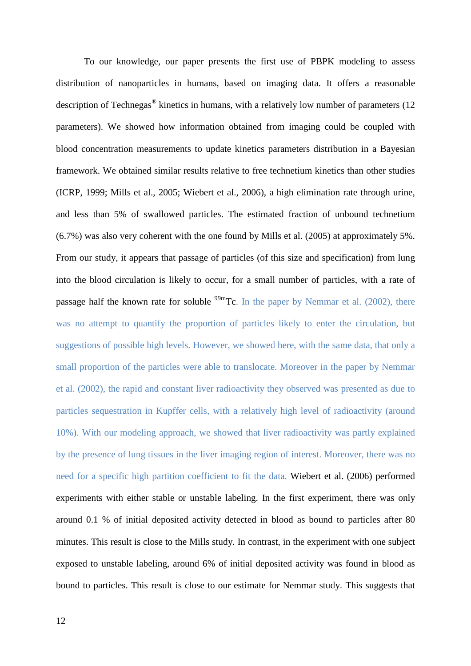To our knowledge, our paper presents the first use of PBPK modeling to assess distribution of nanoparticles in humans, based on imaging data. It offers a reasonable description of Technegas<sup>®</sup> kinetics in humans, with a relatively low number of parameters (12 parameters). We showed how information obtained from imaging could be coupled with blood concentration measurements to update kinetics parameters distribution in a Bayesian framework. We obtained similar results relative to free technetium kinetics than other studies (ICRP, 1999; Mills et al., 2005; Wiebert et al., 2006), a high elimination rate through urine, and less than 5% of swallowed particles. The estimated fraction of unbound technetium (6.7%) was also very coherent with the one found by Mills et al. (2005) at approximately 5%. From our study, it appears that passage of particles (of this size and specification) from lung into the blood circulation is likely to occur, for a small number of particles, with a rate of passage half the known rate for soluble  $99m$ Tc. In the paper by Nemmar et al. (2002), there was no attempt to quantify the proportion of particles likely to enter the circulation, but suggestions of possible high levels. However, we showed here, with the same data, that only a small proportion of the particles were able to translocate. Moreover in the paper by Nemmar et al. (2002), the rapid and constant liver radioactivity they observed was presented as due to particles sequestration in Kupffer cells, with a relatively high level of radioactivity (around 10%). With our modeling approach, we showed that liver radioactivity was partly explained by the presence of lung tissues in the liver imaging region of interest. Moreover, there was no need for a specific high partition coefficient to fit the data. Wiebert et al. (2006) performed experiments with either stable or unstable labeling. In the first experiment, there was only around 0.1 % of initial deposited activity detected in blood as bound to particles after 80 minutes. This result is close to the Mills study. In contrast, in the experiment with one subject exposed to unstable labeling, around 6% of initial deposited activity was found in blood as bound to particles. This result is close to our estimate for Nemmar study. This suggests that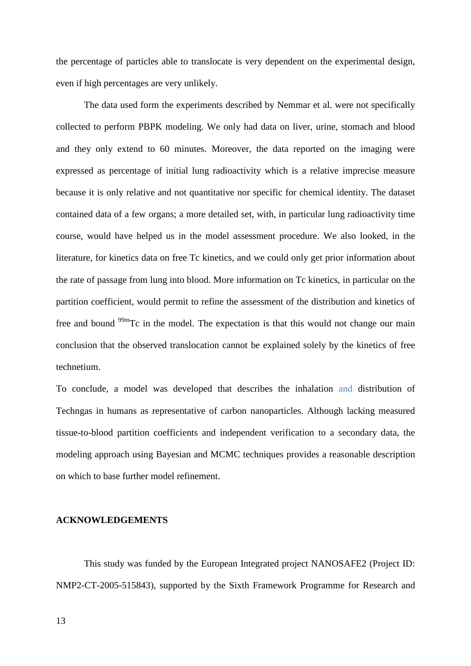the percentage of particles able to translocate is very dependent on the experimental design, even if high percentages are very unlikely.

The data used form the experiments described by Nemmar et al. were not specifically collected to perform PBPK modeling. We only had data on liver, urine, stomach and blood and they only extend to 60 minutes. Moreover, the data reported on the imaging were expressed as percentage of initial lung radioactivity which is a relative imprecise measure because it is only relative and not quantitative nor specific for chemical identity. The dataset contained data of a few organs; a more detailed set, with, in particular lung radioactivity time course, would have helped us in the model assessment procedure. We also looked, in the literature, for kinetics data on free Tc kinetics, and we could only get prior information about the rate of passage from lung into blood. More information on Tc kinetics, in particular on the partition coefficient, would permit to refine the assessment of the distribution and kinetics of free and bound  $99m$ Tc in the model. The expectation is that this would not change our main conclusion that the observed translocation cannot be explained solely by the kinetics of free technetium.

To conclude, a model was developed that describes the inhalation and distribution of Techngas in humans as representative of carbon nanoparticles. Although lacking measured tissue-to-blood partition coefficients and independent verification to a secondary data, the modeling approach using Bayesian and MCMC techniques provides a reasonable description on which to base further model refinement.

#### **ACKNOWLEDGEMENTS**

This study was funded by the European Integrated project NANOSAFE2 (Project ID: NMP2-CT-2005-515843), supported by the Sixth Framework Programme for Research and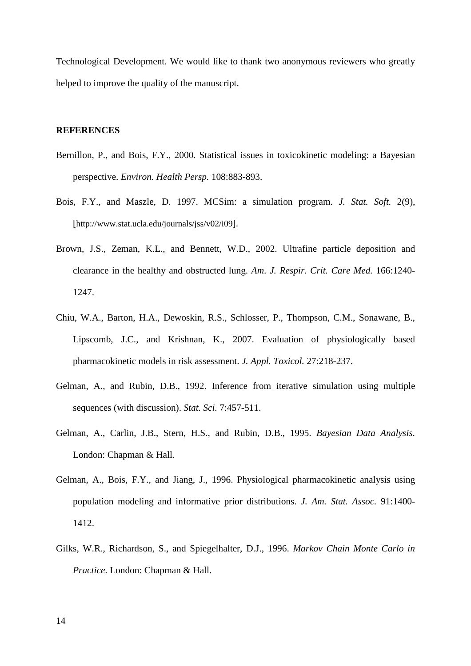Technological Development. We would like to thank two anonymous reviewers who greatly helped to improve the quality of the manuscript.

#### **REFERENCES**

- Bernillon, P., and Bois, F.Y., 2000. Statistical issues in toxicokinetic modeling: a Bayesian perspective. *Environ. Health Persp.* 108:883-893.
- Bois, F.Y., and Maszle, D. 1997. MCSim: a simulation program. *J. Stat. Soft.* 2(9), [http://www.stat.ucla.edu/journals/jss/v02/i09].
- Brown, J.S., Zeman, K.L., and Bennett, W.D., 2002. Ultrafine particle deposition and clearance in the healthy and obstructed lung. *Am. J. Respir. Crit. Care Med.* 166:1240- 1247.
- Chiu, W.A., Barton, H.A., Dewoskin, R.S., Schlosser, P., Thompson, C.M., Sonawane, B., Lipscomb, J.C., and Krishnan, K., 2007. Evaluation of physiologically based pharmacokinetic models in risk assessment. *J. Appl. Toxicol.* 27:218-237.
- Gelman, A., and Rubin, D.B., 1992. Inference from iterative simulation using multiple sequences (with discussion). *Stat. Sci.* 7:457-511.
- Gelman, A., Carlin, J.B., Stern, H.S., and Rubin, D.B., 1995. *Bayesian Data Analysis*. London: Chapman & Hall.
- Gelman, A., Bois, F.Y., and Jiang, J., 1996. Physiological pharmacokinetic analysis using population modeling and informative prior distributions. *J. Am. Stat. Assoc.* 91:1400- 1412.
- Gilks, W.R., Richardson, S., and Spiegelhalter, D.J., 1996. *Markov Chain Monte Carlo in Practice*. London: Chapman & Hall.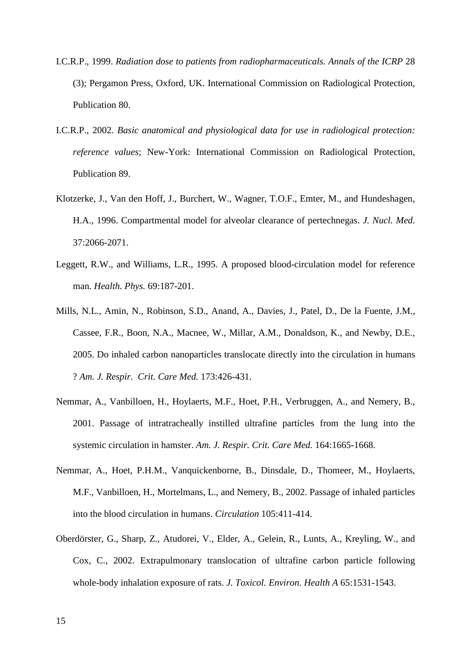- I.C.R.P., 1999. *Radiation dose to patients from radiopharmaceuticals. Annals of the ICRP* 28 (3); Pergamon Press, Oxford, UK. International Commission on Radiological Protection, Publication 80.
- I.C.R.P., 2002. *Basic anatomical and physiological data for use in radiological protection: reference values*; New-York: International Commission on Radiological Protection, Publication 89.
- Klotzerke, J., Van den Hoff, J., Burchert, W., Wagner, T.O.F., Emter, M., and Hundeshagen, H.A., 1996. Compartmental model for alveolar clearance of pertechnegas. *J. Nucl. Med.*  37:2066-2071.
- Leggett, R.W., and Williams, L.R., 1995. A proposed blood-circulation model for reference man. *Health. Phys.* 69:187-201.
- Mills, N.L., Amin, N., Robinson, S.D., Anand, A., Davies, J., Patel, D., De la Fuente, J.M., Cassee, F.R., Boon, N.A., Macnee, W., Millar, A.M., Donaldson, K., and Newby, D.E., 2005. Do inhaled carbon nanoparticles translocate directly into the circulation in humans ? *Am. J. Respir. Crit. Care Med.* 173:426-431.
- Nemmar, A., Vanbilloen, H., Hoylaerts, M.F., Hoet, P.H., Verbruggen, A., and Nemery, B., 2001. Passage of intratracheally instilled ultrafine particles from the lung into the systemic circulation in hamster. *Am. J. Respir. Crit. Care Med.* 164:1665-1668.
- Nemmar, A., Hoet, P.H.M., Vanquickenborne, B., Dinsdale, D., Thomeer, M., Hoylaerts, M.F., Vanbilloen, H., Mortelmans, L., and Nemery, B., 2002. Passage of inhaled particles into the blood circulation in humans. *Circulation* 105:411-414.
- Oberdörster, G., Sharp, Z., Atudorei, V., Elder, A., Gelein, R., Lunts, A., Kreyling, W., and Cox, C., 2002. Extrapulmonary translocation of ultrafine carbon particle following whole-body inhalation exposure of rats. *J. Toxicol. Environ. Health A* 65:1531-1543.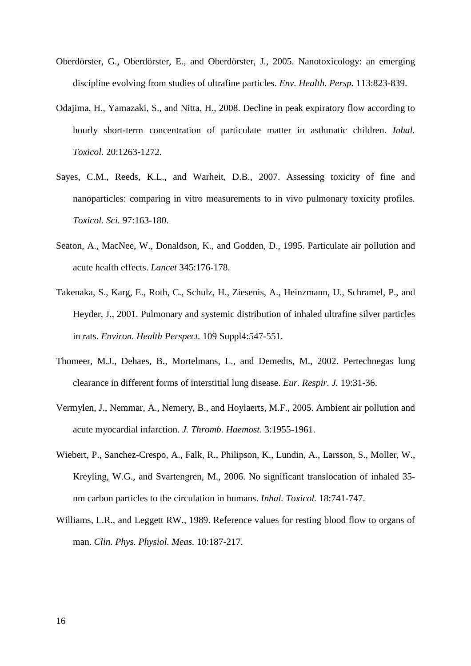- Oberdörster, G., Oberdörster, E., and Oberdörster, J., 2005. Nanotoxicology: an emerging discipline evolving from studies of ultrafine particles. *Env. Health. Persp.* 113:823-839.
- Odajima, H., Yamazaki, S., and Nitta, H., 2008. Decline in peak expiratory flow according to hourly short-term concentration of particulate matter in asthmatic children. *Inhal. Toxicol.* 20:1263-1272.
- Sayes, C.M., Reeds, K.L., and Warheit, D.B., 2007. Assessing toxicity of fine and nanoparticles: comparing in vitro measurements to in vivo pulmonary toxicity profiles*. Toxicol. Sci.* 97:163-180.
- Seaton, A., MacNee, W., Donaldson, K., and Godden, D., 1995. Particulate air pollution and acute health effects. *Lancet* 345:176-178.
- Takenaka, S., Karg, E., Roth, C., Schulz, H., Ziesenis, A., Heinzmann, U., Schramel, P., and Heyder, J., 2001. Pulmonary and systemic distribution of inhaled ultrafine silver particles in rats. *Environ. Health Perspect.* 109 Suppl4:547-551.
- Thomeer, M.J., Dehaes, B., Mortelmans, L., and Demedts, M., 2002. Pertechnegas lung clearance in different forms of interstitial lung disease. *Eur. Respir. J.* 19:31-36.
- Vermylen, J., Nemmar, A., Nemery, B., and Hoylaerts, M.F., 2005. Ambient air pollution and acute myocardial infarction. *J. Thromb. Haemost.* 3:1955-1961.
- Wiebert, P., Sanchez-Crespo, A., Falk, R., Philipson, K., Lundin, A., Larsson, S., Moller, W., Kreyling, W.G., and Svartengren, M., 2006. No significant translocation of inhaled 35 nm carbon particles to the circulation in humans. *Inhal. Toxicol.* 18:741-747.
- Williams, L.R., and Leggett RW., 1989. Reference values for resting blood flow to organs of man. *Clin. Phys. Physiol. Meas.* 10:187-217.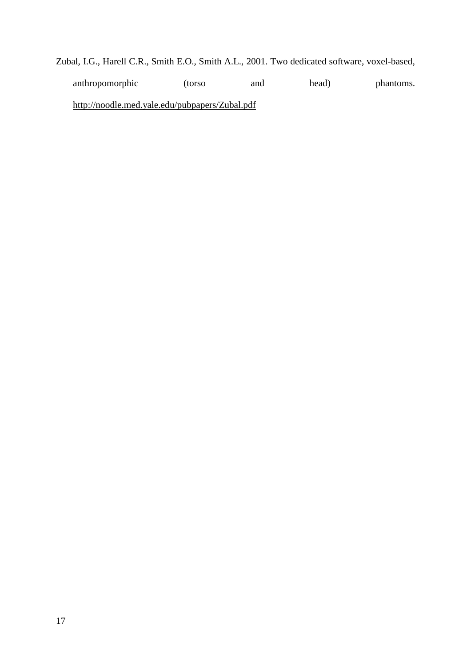Zubal, I.G., Harell C.R., Smith E.O., Smith A.L., 2001. Two dedicated software, voxel-based, anthropomorphic (torso and head) phantoms. http://noodle.med.yale.edu/pubpapers/Zubal.pdf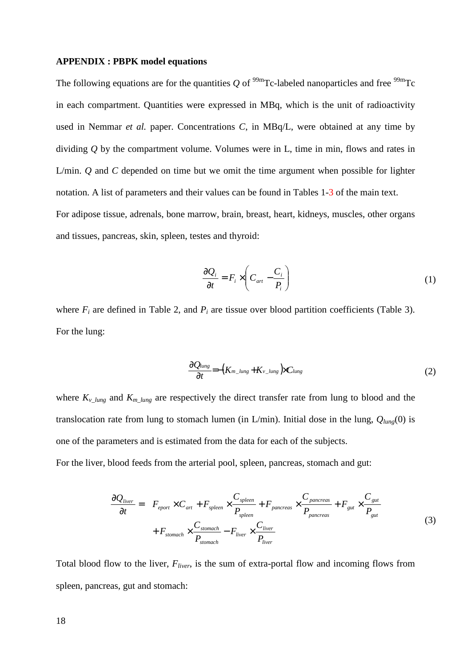#### **APPENDIX : PBPK model equations**

The following equations are for the quantities  $Q$  of <sup>99m</sup>Tc-labeled nanoparticles and free <sup>99m</sup>Tc in each compartment. Quantities were expressed in MBq, which is the unit of radioactivity used in Nemmar *et al.* paper. Concentrations *C*, in MBq/L, were obtained at any time by dividing *Q* by the compartment volume. Volumes were in L, time in min, flows and rates in L/min. *Q* and *C* depended on time but we omit the time argument when possible for lighter notation. A list of parameters and their values can be found in Tables 1-3 of the main text. For adipose tissue, adrenals, bone marrow, brain, breast, heart, kidneys, muscles, other organs and tissues, pancreas, skin, spleen, testes and thyroid:

$$
\frac{\partial Q_i}{\partial t} = F_i \times \left( C_{art} - \frac{C_i}{P_i} \right) \tag{1}
$$

where  $F_i$  are defined in Table 2, and  $P_i$  are tissue over blood partition coefficients (Table 3). For the lung:

$$
\frac{\partial Q_{lung}}{\partial t} = -(K_{m_l, lung} + K_{\nu_l, lung}) \times C_{lung}
$$
\n(2)

where  $K_{v\_{long}}$  and  $K_{m\_{long}}$  are respectively the direct transfer rate from lung to blood and the translocation rate from lung to stomach lumen (in L/min). Initial dose in the lung, *Qlung*(0) is one of the parameters and is estimated from the data for each of the subjects.

For the liver, blood feeds from the arterial pool, spleen, pancreas, stomach and gut:

$$
\frac{\partial Q_{\text{diver}}}{\partial t} = F_{\text{eport}} \times C_{\text{art}} + F_{\text{spleen}} \times \frac{C_{\text{spleen}}}{P_{\text{spleen}}} + F_{\text{pancreas}} \times \frac{C_{\text{pancreas}}}{P_{\text{pancreas}}} + F_{\text{gut}} \times \frac{C_{\text{gut}}}{P_{\text{gut}}} + F_{\text{stomach}} \times \frac{C_{\text{somach}}}{P_{\text{stomach}}} - F_{\text{diver}} \times \frac{C_{\text{liver}}}{P_{\text{diver}}} \tag{3}
$$

Total blood flow to the liver, *Fliver*, is the sum of extra-portal flow and incoming flows from spleen, pancreas, gut and stomach: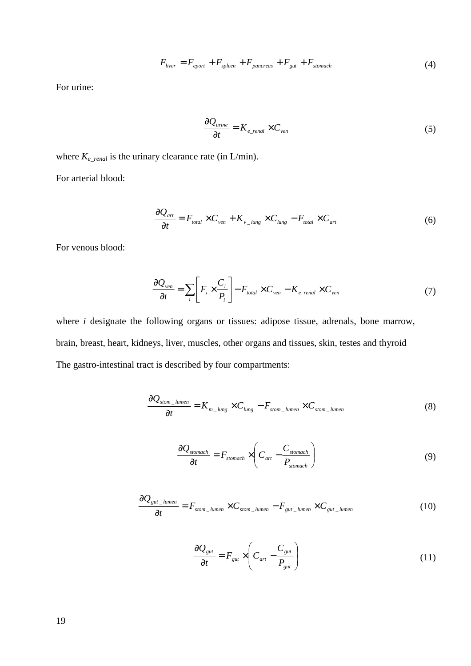$$
F_{\text{liver}} = F_{\text{eport}} + F_{\text{spleen}} + F_{\text{pancreas}} + F_{\text{gut}} + F_{\text{stomach}} \tag{4}
$$

For urine:

$$
\frac{\partial Q_{\text{urine}}}{\partial t} = K_{e\_\text{real}} \times C_{\text{ven}} \tag{5}
$$

where *Ke\_renal* is the urinary clearance rate (in L/min). For arterial blood:

$$
\frac{\partial Q_{art}}{\partial t} = F_{total} \times C_{ven} + K_{v_{-lung}} \times C_{lung} - F_{total} \times C_{art}
$$
(6)

For venous blood:

$$
\frac{\partial Q_{ven}}{\partial t} = \sum_{i} \left[ F_i \times \frac{C_i}{P_i} \right] - F_{total} \times C_{ven} - K_{e\_real} \times C_{ven}
$$
(7)

where *i* designate the following organs or tissues: adipose tissue, adrenals, bone marrow, brain, breast, heart, kidneys, liver, muscles, other organs and tissues, skin, testes and thyroid The gastro-intestinal tract is described by four compartments:

$$
\frac{\partial Q_{\text{atom\_lumen}}}{\partial t} = K_{m\_lung} \times C_{lung} - F_{\text{atom\_lumen}} \times C_{\text{atom\_lumen}} \tag{8}
$$

$$
\frac{\partial Q_{\text{stomach}}}{\partial t} = F_{\text{stomach}} \times \left( C_{\text{art}} - \frac{C_{\text{stomach}}}{P_{\text{stomach}}} \right) \tag{9}
$$

$$
\frac{\partial Q_{gut\_lumen}}{\partial t} = F_{stom\_lumen} \times C_{stom\_lumen} - F_{gut\_lumen} \times C_{gut\_lumen}
$$
(10)

$$
\frac{\partial Q_{\text{gut}}}{\partial t} = F_{\text{gut}} \times \left( C_{\text{art}} - \frac{C_{\text{gut}}}{P_{\text{gut}}} \right) \tag{11}
$$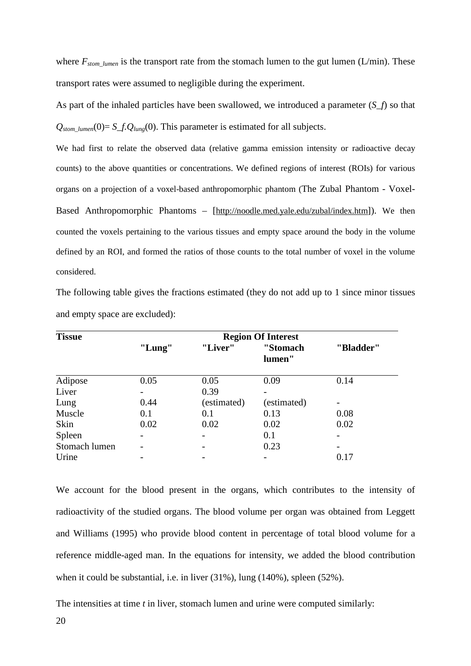where  $F_{atom\_lumen}$  is the transport rate from the stomach lumen to the gut lumen (L/min). These transport rates were assumed to negligible during the experiment.

As part of the inhaled particles have been swallowed, we introduced a parameter (*S\_f*) so that  $Q_{\text{atom-lumen}}(0) = S_f. Q_{\text{lune}}(0)$ . This parameter is estimated for all subjects.

We had first to relate the observed data (relative gamma emission intensity or radioactive decay counts) to the above quantities or concentrations. We defined regions of interest (ROIs) for various organs on a projection of a voxel-based anthropomorphic phantom (The Zubal Phantom - Voxel-Based Anthropomorphic Phantoms – [http://noodle.med.yale.edu/zubal/index.htm]). We then counted the voxels pertaining to the various tissues and empty space around the body in the volume defined by an ROI, and formed the ratios of those counts to the total number of voxel in the volume considered.

The following table gives the fractions estimated (they do not add up to 1 since minor tissues and empty space are excluded):

| <b>Tissue</b> | <b>Region Of Interest</b> |             |                    |                          |
|---------------|---------------------------|-------------|--------------------|--------------------------|
|               | "Lung"                    | "Liver"     | "Stomach<br>lumen" | "Bladder"                |
| Adipose       | 0.05                      | 0.05        | 0.09               | 0.14                     |
| Liver         |                           | 0.39        |                    |                          |
| Lung          | 0.44                      | (estimated) | (estimated)        | $\overline{\phantom{0}}$ |
| Muscle        | 0.1                       | 0.1         | 0.13               | 0.08                     |
| Skin          | 0.02                      | 0.02        | 0.02               | 0.02                     |
| Spleen        |                           |             | 0.1                |                          |
| Stomach lumen |                           |             | 0.23               |                          |
| Urine         |                           |             |                    | 0.17                     |

We account for the blood present in the organs, which contributes to the intensity of radioactivity of the studied organs. The blood volume per organ was obtained from Leggett and Williams (1995) who provide blood content in percentage of total blood volume for a reference middle-aged man. In the equations for intensity, we added the blood contribution when it could be substantial, i.e. in liver (31%), lung (140%), spleen (52%).

The intensities at time *t* in liver, stomach lumen and urine were computed similarly: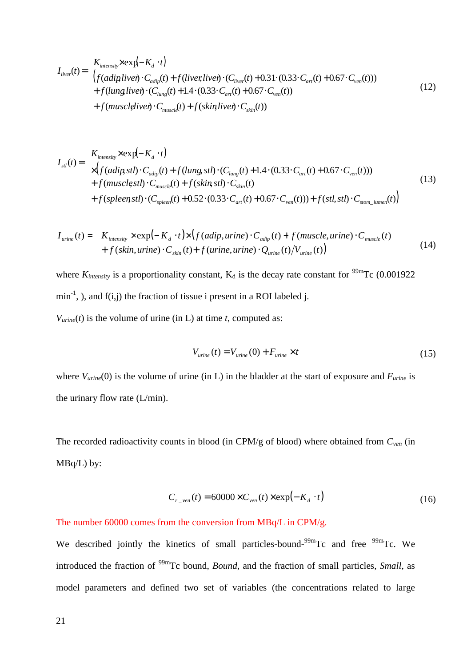$$
I_{\text{liver}}(t) = \n\begin{aligned}\nK_{\text{intensity}} \times \exp(-K_d \cdot t) \\
\left( f(\text{adipliver}) \cdot C_{\text{adip}}(t) + f(\text{liverliver}) \cdot (C_{\text{liver}}(t) + 0.31 \cdot (0.33 \cdot C_{\text{art}}(t) + 0.67 \cdot C_{\text{ven}}(t)) \right) \\
+ f(\text{lungliver}) \cdot (C_{\text{lung}}(t) + 1.4 \cdot (0.33 \cdot C_{\text{art}}(t) + 0.67 \cdot C_{\text{ven}}(t)) \\
+ f(\text{muscleliver}) \cdot C_{\text{musclel}}(t) + f(\text{skinliver}) \cdot C_{\text{skin}}(t)\n\end{aligned} \tag{12}
$$

$$
I_{\text{st}}(t) = \frac{K_{\text{intensity}} \times \exp(-K_d \cdot t)}{\times \left(f(\text{adip} \text{ st}t) \cdot C_{\text{adip}}(t) + f(\text{lung} \text{ st}t) \cdot (C_{\text{lung}}(t) + 1.4 \cdot (0.33 \cdot C_{\text{art}}(t) + 0.67 \cdot C_{\text{ven}}(t))\right)} + f(\text{musclest}t) \cdot C_{\text{muscle}}(t) + f(\text{skin} \text{ st}t) \cdot C_{\text{skin}}(t) + O(\frac{1}{2}) \cdot C_{\text{sem}}(t) + O(\frac{1}{2}) \cdot \exp(-\frac{1}{2}) \cdot \exp(-\frac{1}{2}) \cdot \exp(-\frac{1}{2}) \cdot \exp(-\frac{1}{2}) \cdot \exp(-\frac{1}{2}) \cdot \exp(-\frac{1}{2}) \cdot \exp(-\frac{1}{2}) \cdot \exp(-\frac{1}{2}) \cdot \exp(-\frac{1}{2}) \cdot \exp(-\frac{1}{2}) \cdot \exp(-\frac{1}{2}) \cdot \exp(-\frac{1}{2}) \cdot \exp(-\frac{1}{2}) \cdot \exp(-\frac{1}{2}) \cdot \exp(-\frac{1}{2}) \cdot \exp(-\frac{1}{2}) \cdot \exp(-\frac{1}{2}) \cdot \exp(-\frac{1}{2}) \cdot \exp(-\frac{1}{2}) \cdot \exp(-\frac{1}{2}) \cdot \exp(-\frac{1}{2}) \cdot \exp(-\frac{1}{2}) \cdot \exp(-\frac{1}{2}) \cdot \exp(-\frac{1}{2}) \cdot \exp(-\frac{1}{2}) \cdot \exp(-\frac{1}{2}) \cdot \exp(-\frac{1}{2}) \cdot \exp(-\frac{1}{2}) \cdot \exp(-\frac{1}{2}) \cdot \exp(-\frac{1}{2}) \cdot \exp(-\frac{1}{2}) \cdot \exp(-\frac{1}{2}) \cdot \exp(-\frac{1}{2}) \cdot \exp(-\frac{1}{2}) \cdot \exp(-\frac{1}{2}) \cdot \exp(-\frac{1}{2}) \cdot \exp(-\frac{1}{2}) \cdot \exp(-\frac{1}{2}) \cdot \exp(-\frac{1}{2}) \cdot \exp(-\frac{1}{2}) \cdot \exp(-\frac{1}{2}) \cdot \exp(-\frac{1}{2}) \cdot \exp(-\frac{1}{2}) \cdot \exp(-\frac{1}{2}) \cdot \exp(-\frac{1}{2}) \cdot \
$$

$$
I_{\text{urine}}(t) = K_{\text{intensity}} \times \exp(-K_d \cdot t) \times \left( f(\text{adip}, \text{urine}) \cdot C_{\text{adip}}(t) + f(\text{muscle}, \text{urine}) \cdot C_{\text{muscle}}(t) + f(\text{skin}, \text{urine}) \cdot C_{\text{skin}}(t) + f(\text{urine}, \text{urine}) \cdot Q_{\text{urine}}(t) / V_{\text{urine}}(t) \right)
$$
\n
$$
(14)
$$

where  $K_{intensity}$  is a proportionality constant,  $K_d$  is the decay rate constant for <sup>99m</sup>Tc (0.001922  $min^{-1}$ , ), and  $f(i,j)$  the fraction of tissue i present in a ROI labeled j.  $V_{\text{urine}}(t)$  is the volume of urine (in L) at time *t*, computed as:

$$
V_{\text{urine}}(t) = V_{\text{urine}}(0) + F_{\text{urine}} \times t \tag{15}
$$

where  $V_{\text{urine}}(0)$  is the volume of urine (in L) in the bladder at the start of exposure and  $F_{\text{urine}}$  is the urinary flow rate (L/min).

The recorded radioactivity counts in blood (in CPM/g of blood) where obtained from *Cven* (in MBq/L) by:

$$
C_{r\_ven}(t) = 60000 \times C_{ven}(t) \times \exp(-K_d \cdot t)
$$
\n(16)

#### The number 60000 comes from the conversion from MBq/L in CPM/g.

We described jointly the kinetics of small particles-bound-<sup>99m</sup>Tc and free <sup>99m</sup>Tc. We introduced the fraction of 99mTc bound, *Bound*, and the fraction of small particles, *Small*, as model parameters and defined two set of variables (the concentrations related to large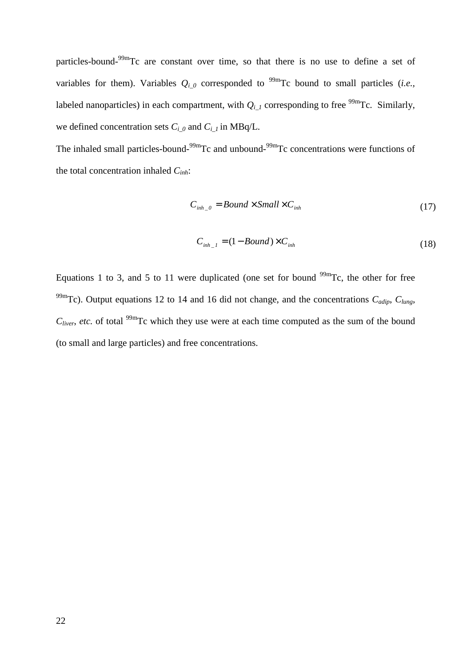particles-bound-99mTc are constant over time, so that there is no use to define a set of variables for them). Variables  $Q_{i_0}$  corresponded to <sup>99m</sup>Tc bound to small particles (*i.e.*, labeled nanoparticles) in each compartment, with  $Q_{i_l}$  corresponding to free <sup>99m</sup>Tc. Similarly, we defined concentration sets  $C_i$  <sub>0</sub> and  $C_i$  <sub>1</sub> in MBq/L.

The inhaled small particles-bound-<sup>99m</sup>Tc and unbound-<sup>99m</sup>Tc concentrations were functions of the total concentration inhaled *Cinh*:

$$
C_{\text{inh}\_0} = Bound \times Small \times C_{\text{inh}} \tag{17}
$$

$$
C_{inh\_1} = (1 - Bound) \times C_{inh} \tag{18}
$$

Equations 1 to 3, and 5 to 11 were duplicated (one set for bound  $^{99m}$ Tc, the other for free <sup>99m</sup>Tc). Output equations 12 to 14 and 16 did not change, and the concentrations  $C_{\text{adip}}$ ,  $C_{\text{lune}}$ ,  $C<sub>liver</sub>$ , *etc.* of total <sup>99m</sup>Tc which they use were at each time computed as the sum of the bound (to small and large particles) and free concentrations.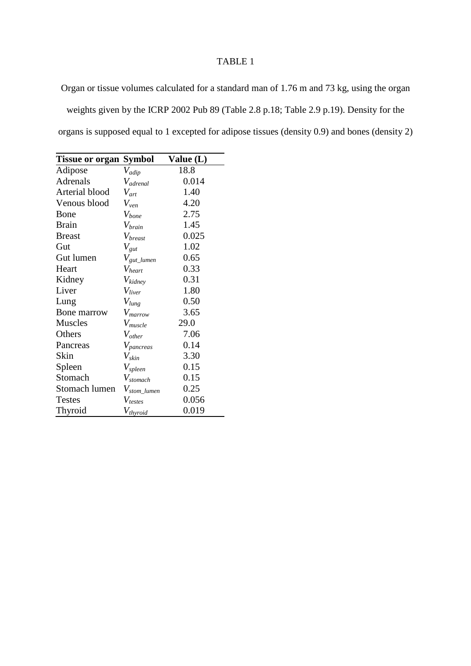Organ or tissue volumes calculated for a standard man of 1.76 m and 73 kg, using the organ weights given by the ICRP 2002 Pub 89 (Table 2.8 p.18; Table 2.9 p.19). Density for the organs is supposed equal to 1 excepted for adipose tissues (density 0.9) and bones (density 2)

| <b>Tissue or organ Symbol</b> |                            | Value (L) |
|-------------------------------|----------------------------|-----------|
| Adipose                       | $V_{\text{adip}}$          | 18.8      |
| <b>Adrenals</b>               | $V_{\text{adrenal}}$       | 0.014     |
| Arterial blood                | $V_{art}$                  | 1.40      |
| Venous blood                  | $V_{ven}$                  | 4.20      |
| Bone                          | $V_{bone}$                 | 2.75      |
| <b>Brain</b>                  | $V_{brain}$                | 1.45      |
| <b>Breast</b>                 | $V_{\text{break}}$         | 0.025     |
| Gut                           | $V_{gut}$                  | 1.02      |
| Gut lumen                     | $V_{\text{gut\_lumen}}$    | 0.65      |
| Heart                         | $V_{heart}$                | 0.33      |
| Kidney                        | $V_{kidney}$               | 0.31      |
| Liver                         | $V_{liver}$                | 1.80      |
| Lung                          | $V_{lung}$                 | 0.50      |
| Bone marrow                   | $V_{\text{marrow}}$        | 3.65      |
| <b>Muscles</b>                | $V_{muscle}$               | 29.0      |
| Others                        | $V_{other}$                | 7.06      |
| Pancreas                      | $V_{pancreas}$             | 0.14      |
| Skin                          | $V_{skin}$                 | 3.30      |
| Spleen                        | $V_{spleen}$               | 0.15      |
| Stomach                       | $V_{stomach}$              | 0.15      |
| Stomach lumen                 | $V_{\mathit{stom\_lumen}}$ | 0.25      |
| <b>Testes</b>                 | $V_{testes}$               | 0.056     |
| Thyroid                       | $V_{thyroid}$              | 0.019     |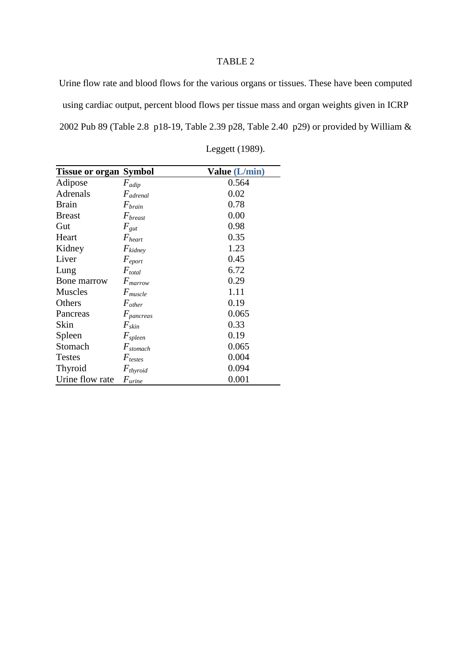Urine flow rate and blood flows for the various organs or tissues. These have been computed using cardiac output, percent blood flows per tissue mass and organ weights given in ICRP 2002 Pub 89 (Table 2.8 p18-19, Table 2.39 p28, Table 2.40 p29) or provided by William &

| <b>Tissue or organ Symbol</b> |                      | Value (L/min) |
|-------------------------------|----------------------|---------------|
| Adipose                       | $F_{\alpha dip}$     | 0.564         |
| Adrenals                      | $F_{\alpha drenal}$  | 0.02          |
| <b>Brain</b>                  | $F_{brain}$          | 0.78          |
| <b>Breast</b>                 | $F_{\text{breast}}$  | 0.00          |
| Gut                           | $F_{gut}$            | 0.98          |
| Heart                         | $F_{heart}$          | 0.35          |
| Kidney                        | $F_{kidney}$         | 1.23          |
| Liver                         | $F_{\text{eport}}$   | 0.45          |
| Lung                          | $F_{total}$          | 6.72          |
| Bone marrow                   | $F_{\text{marrow}}$  | 0.29          |
| <b>Muscles</b>                | $F_{muscle}$         | 1.11          |
| Others                        | $F_{other}$          | 0.19          |
| Pancreas                      | $F_{pancreas}$       | 0.065         |
| Skin                          | $F_{skin}$           | 0.33          |
| Spleen                        | $F_{\text{spleen}}$  | 0.19          |
| Stomach                       | $F_{\text{stomach}}$ | 0.065         |
| <b>Testes</b>                 | $F_{\textit{tests}}$ | 0.004         |
| Thyroid                       | $F_{thyroid}$        | 0.094         |
| Urine flow rate               | $F_{\text{urine}}$   | 0.001         |

Leggett (1989).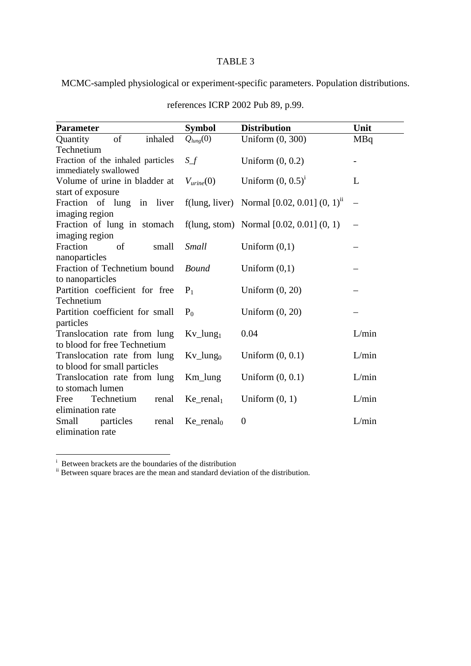MCMC-sampled physiological or experiment-specific parameters. Population distributions.

| <b>Parameter</b>                  | <b>Symbol</b>                     | <b>Distribution</b>                                        | Unit       |  |
|-----------------------------------|-----------------------------------|------------------------------------------------------------|------------|--|
| of<br>Quantity<br>inhaled         | $Q_{lung}(0)$                     | Uniform (0, 300)                                           | <b>MBq</b> |  |
| Technetium                        |                                   |                                                            |            |  |
| Fraction of the inhaled particles | $S_f$                             | Uniform $(0, 0.2)$                                         |            |  |
| immediately swallowed             |                                   |                                                            |            |  |
| Volume of urine in bladder at     | $V_{urine}(0)$                    | Uniform $(0, 0.5)^1$                                       | L          |  |
| start of exposure                 |                                   |                                                            |            |  |
| Fraction of lung in liver         |                                   | f(lung, liver) Normal $[0.02, 0.01]$ $(0, 1)$ <sup>n</sup> |            |  |
| imaging region                    |                                   |                                                            |            |  |
| Fraction of lung in stomach       |                                   | f(lung, stom) Normal $[0.02, 0.01]$ $(0, 1)$               |            |  |
| imaging region                    |                                   |                                                            |            |  |
| Fraction<br>of<br>small           | <b>Small</b>                      | Uniform $(0,1)$                                            |            |  |
| nanoparticles                     |                                   |                                                            |            |  |
| Fraction of Technetium bound      | <b>Bound</b>                      | Uniform $(0,1)$                                            |            |  |
| to nanoparticles                  |                                   |                                                            |            |  |
| Partition coefficient for free    | $P_1$                             | Uniform $(0, 20)$                                          |            |  |
| Technetium                        |                                   |                                                            |            |  |
| Partition coefficient for small   | $P_0$                             | Uniform $(0, 20)$                                          |            |  |
| particles                         |                                   |                                                            |            |  |
| Translocation rate from lung      | $Kv_L$ lung <sub>1</sub>          | 0.04                                                       | L/min      |  |
| to blood for free Technetium      |                                   |                                                            |            |  |
| Translocation rate from lung      | $Kv_{\text{-}}$ lung <sub>0</sub> | Uniform $(0, 0.1)$                                         | L/min      |  |
| to blood for small particles      |                                   |                                                            |            |  |
| Translocation rate from lung      | $Km_l$ lung                       | Uniform $(0, 0.1)$                                         | L/min      |  |
| to stomach lumen                  |                                   |                                                            |            |  |
| Technetium<br>Free<br>renal       | $Ke$ _renal <sub>1</sub>          | Uniform $(0, 1)$                                           | L/min      |  |
| elimination rate                  |                                   |                                                            |            |  |
| Small<br>particles<br>renal       | $Ke$ _renal <sub>0</sub>          | $\boldsymbol{0}$                                           | L/min      |  |
| elimination rate                  |                                   |                                                            |            |  |

references ICRP 2002 Pub 89, p.99.

i Between brackets are the boundaries of the distribution

<sup>ii</sup> Between square braces are the mean and standard deviation of the distribution.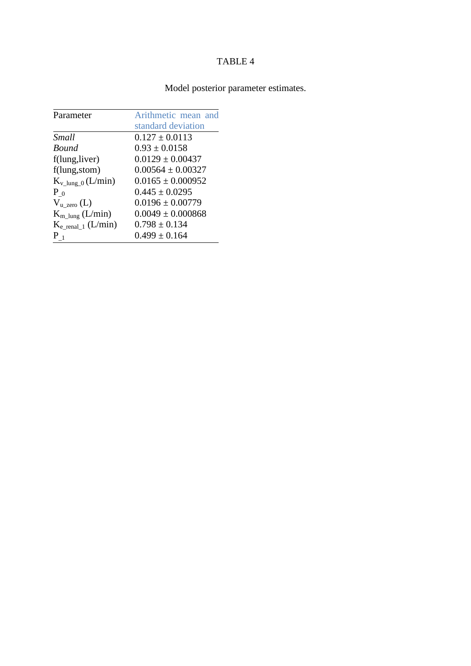# Model posterior parameter estimates.

| Parameter                        | Arithmetic mean and   |
|----------------------------------|-----------------------|
|                                  | standard deviation    |
| Small                            | $0.127 \pm 0.0113$    |
| Bound                            | $0.93 \pm 0.0158$     |
| f(lung, liver)                   | $0.0129 \pm 0.00437$  |
| f(lung, stom)                    | $0.00564 \pm 0.00327$ |
| $K_{v_{\text{llung\_0}}}(L/min)$ | $0.0165 \pm 0.000952$ |
| $P_{0}$                          | $0.445 \pm 0.0295$    |
| $V_{u\_zero}$ (L)                | $0.0196 \pm 0.00779$  |
| $K_{m\_lung}$ (L/min)            | $0.0049 \pm 0.000868$ |
| $K_{e}$ renal 1 (L/min)          | $0.798 \pm 0.134$     |
| $P_1$                            | $0.499 \pm 0.164$     |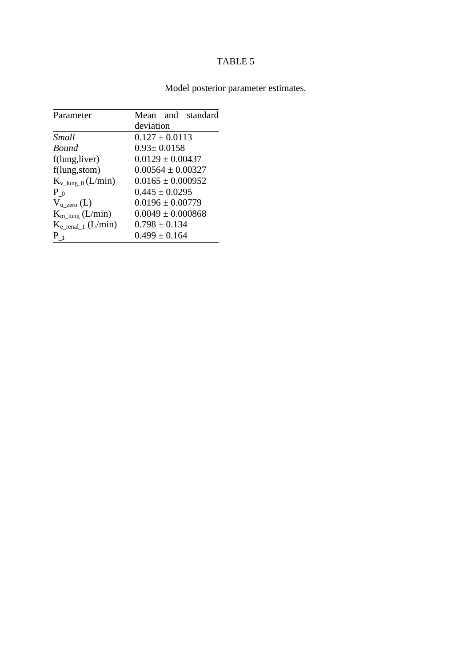| Parameter                     | Mean and standard     |
|-------------------------------|-----------------------|
|                               | deviation             |
| Small                         | $0.127 \pm 0.0113$    |
| <b>Bound</b>                  | $0.93 \pm 0.0158$     |
| f(lung, liver)                | $0.0129 \pm 0.00437$  |
| f(lung,stom)                  | $0.00564 \pm 0.00327$ |
| $K_{v \text{lung } 0}(L/min)$ | $0.0165 \pm 0.000952$ |
| $P_{0}$                       | $0.445 \pm 0.0295$    |
| $V_{u\_zero}$ (L)             | $0.0196 \pm 0.00779$  |
| $K_{m\_lung}$ (L/min)         | $0.0049 \pm 0.000868$ |
| $K_{e}$ renal 1 (L/min)       | $0.798 \pm 0.134$     |
| $P_1$                         | $0.499 \pm 0.164$     |

# Model posterior parameter estimates.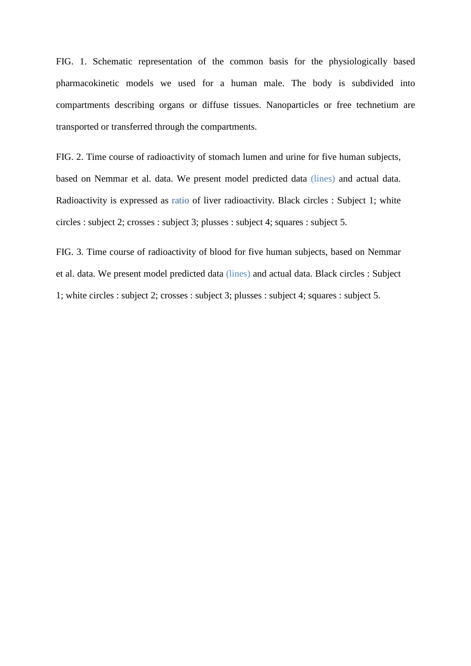FIG. 1. Schematic representation of the common basis for the physiologically based pharmacokinetic models we used for a human male. The body is subdivided into compartments describing organs or diffuse tissues. Nanoparticles or free technetium are transported or transferred through the compartments.

FIG. 2. Time course of radioactivity of stomach lumen and urine for five human subjects, based on Nemmar et al. data. We present model predicted data (lines) and actual data. Radioactivity is expressed as ratio of liver radioactivity. Black circles : Subject 1; white circles : subject 2; crosses : subject 3; plusses : subject 4; squares : subject 5.

FIG. 3. Time course of radioactivity of blood for five human subjects, based on Nemmar et al. data. We present model predicted data (lines) and actual data. Black circles : Subject 1; white circles : subject 2; crosses : subject 3; plusses : subject 4; squares : subject 5.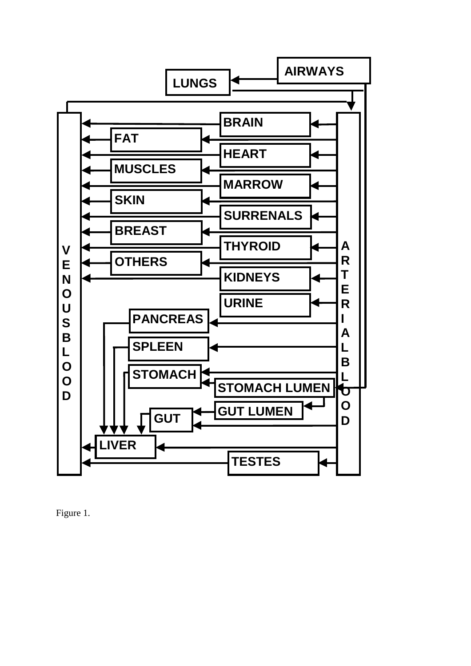

Figure 1.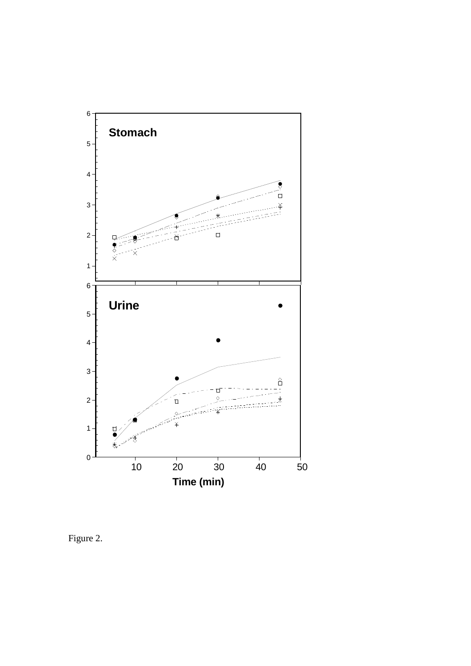

Figure 2.